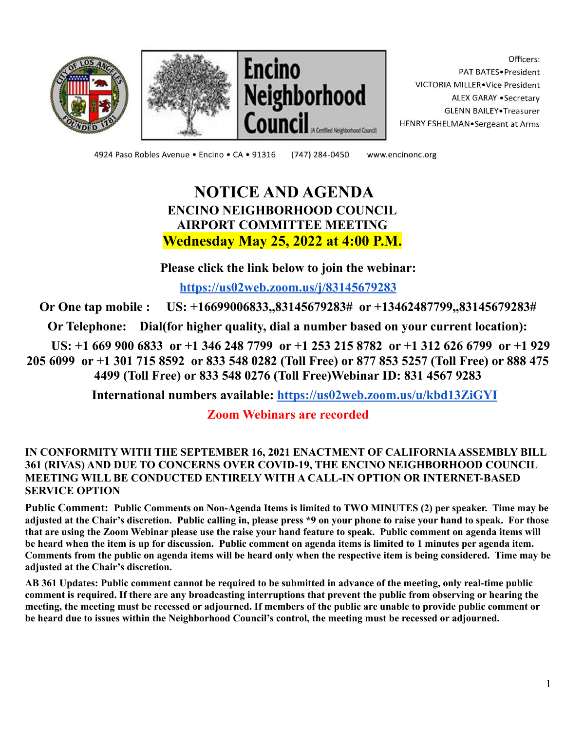





Officers: PAT BATES. President VICTORIA MILLER.Vice President ALEX GARAY . Secretary **GLENN BAILEY** Treasurer HENRY ESHELMAN.Sergeant at Arms

4924 Paso Robles Avenue . Encino . CA . 91316 (747) 284-0450

www.encinonc.org

# **NOTICE AND AGENDA ENCINO NEIGHBORHOOD COUNCIL AIRPORT COMMITTEE MEETING Wednesday May 25, 2022 at 4:00 P.M.**

**Please click the link below to join the webinar:**

**<https://us02web.zoom.us/j/83145679283>**

**Or One tap mobile : US: +16699006833,,83145679283# or +13462487799,,83145679283#**

**Or Telephone: Dial(for higher quality, dial a number based on your current location):**

US:  $+16699006833$  or  $+13462487799$  or  $+12532158782$  or  $+13126266799$  or  $+1929$ 205 6099 or +1 301 715 8592 or 833 548 0282 (Toll Free) or 877 853 5257 (Toll Free) or 888 475 **4499 (Toll Free) or 833 548 0276 (Toll Free)Webinar ID: 831 4567 9283**

**International numbers available: <https://us02web.zoom.us/u/kbd13ZiGYI>**

**Zoom Webinars are recorded**

### **IN CONFORMITY WITH THE SEPTEMBER 16, 2021 ENACTMENT OF CALIFORNIAASSEMBLY BILL 361 (RIVAS) AND DUE TO CONCERNS OVER COVID-19, THE ENCINO NEIGHBORHOOD COUNCIL MEETING WILL BE CONDUCTED ENTIRELY WITH A CALL-IN OPTION OR INTERNET-BASED SERVICE OPTION**

Public Comment: Public Comments on Non-Agenda Items is limited to TWO MINUTES (2) per speaker. Time may be adjusted at the Chair's discretion. Public calling in, please press \*9 on your phone to raise your hand to speak. For those that are using the Zoom Webinar please use the raise your hand feature to speak. Public comment on agenda items will be heard when the item is up for discussion. Public comment on agenda items is limited to 1 minutes per agenda item. Comments from the public on agenda items will be heard only when the respective item is being considered. Time may be **adjusted at the Chair's discretion.**

AB 361 Updates: Public comment cannot be required to be submitted in advance of the meeting, only real-time public comment is required. If there are any broadcasting interruptions that prevent the public from observing or hearing the meeting, the meeting must be recessed or adjourned. If members of the public are unable to provide public comment or be heard due to issues within the Neighborhood Council's control, the meeting must be recessed or adjourned.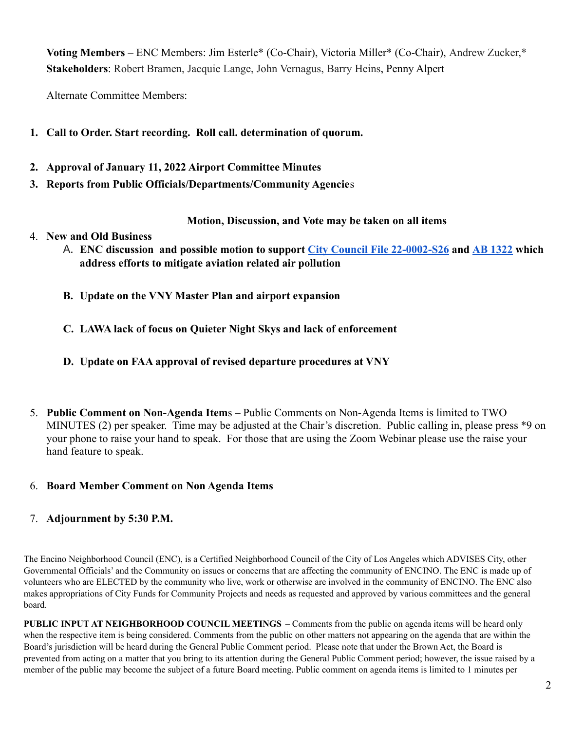**Voting Members** – ENC Members: Jim Esterle\* (Co-Chair), Victoria Miller\* (Co-Chair), Andrew Zucker,\* **Stakeholders**: Robert Bramen, Jacquie Lange, John Vernagus, Barry Heins, Penny Alpert

Alternate Committee Members:

- **1. Call to Order. Start recording. Roll call. determination of quorum.**
- **2. Approval of January 11, 2022 Airport Committee Minutes**
- **3. Reports from Public Officials/Departments/Community Agencie**s

#### **Motion, Discussion, and Vote may be taken on all items**

### 4. **New and Old Business**

- A. **ENC discussion and possible motion to support City [Council File 22-0002-S26](https://cityclerk.lacity.org/lacityclerkconnect/index.cfm?fa=ccfi.viewrecord&cfnumber=22-0002-S26) and [AB 1322](https://leginfo.legislature.ca.gov/faces/billNavClient.xhtml?bill_id=202120220AB1322) which address efforts to mitigate aviation related air pollution**
- **B. Update on the VNY Master Plan and airport expansion**
- **C. LAWA lack of focus on Quieter Night Skys and lack of enforcement**
- **D. Update on FAA approval of revised departure procedures at VNY**
- 5. **Public Comment on Non-Agenda Item**s Public Comments on Non-Agenda Items is limited to TWO MINUTES (2) per speaker. Time may be adjusted at the Chair's discretion. Public calling in, please press \*9 on your phone to raise your hand to speak. For those that are using the Zoom Webinar please use the raise your hand feature to speak.
- 6. **Board Member Comment on Non Agenda Items**

## 7. **Adjournment by 5:30 P.M.**

The Encino Neighborhood Council (ENC), is a Certified Neighborhood Council of the City of Los Angeles which ADVISES City, other Governmental Officials' and the Community on issues or concerns that are affecting the community of ENCINO. The ENC is made up of volunteers who are ELECTED by the community who live, work or otherwise are involved in the community of ENCINO. The ENC also makes appropriations of City Funds for Community Projects and needs as requested and approved by various committees and the general board.

**PUBLIC INPUT AT NEIGHBORHOOD COUNCIL MEETINGS** – Comments from the public on agenda items will be heard only when the respective item is being considered. Comments from the public on other matters not appearing on the agenda that are within the Board's jurisdiction will be heard during the General Public Comment period. Please note that under the Brown Act, the Board is prevented from acting on a matter that you bring to its attention during the General Public Comment period; however, the issue raised by a member of the public may become the subject of a future Board meeting. Public comment on agenda items is limited to 1 minutes per